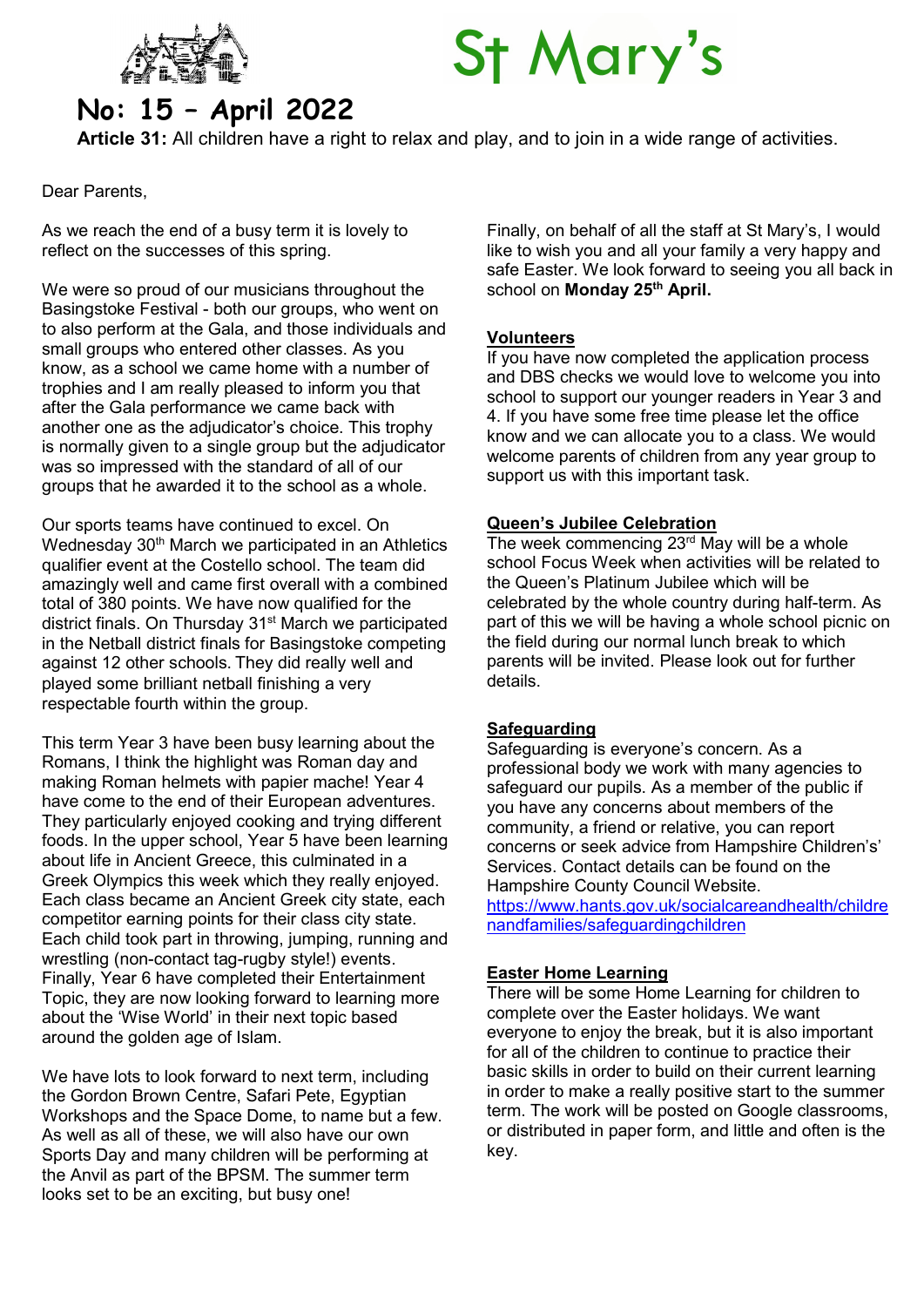

# **St Mary's**

# No: 15 – April 2022

Article 31: All children have a right to relax and play, and to join in a wide range of activities.

Dear Parents,

As we reach the end of a busy term it is lovely to reflect on the successes of this spring.

We were so proud of our musicians throughout the Basingstoke Festival - both our groups, who went on to also perform at the Gala, and those individuals and small groups who entered other classes. As you know, as a school we came home with a number of trophies and I am really pleased to inform you that after the Gala performance we came back with another one as the adjudicator's choice. This trophy is normally given to a single group but the adjudicator was so impressed with the standard of all of our groups that he awarded it to the school as a whole.

Our sports teams have continued to excel. On Wednesday 30<sup>th</sup> March we participated in an Athletics qualifier event at the Costello school. The team did amazingly well and came first overall with a combined total of 380 points. We have now qualified for the district finals. On Thursday 31<sup>st</sup> March we participated in the Netball district finals for Basingstoke competing against 12 other schools. They did really well and played some brilliant netball finishing a very respectable fourth within the group.

This term Year 3 have been busy learning about the Romans, I think the highlight was Roman day and making Roman helmets with papier mache! Year 4 have come to the end of their European adventures. They particularly enjoyed cooking and trying different foods. In the upper school, Year 5 have been learning about life in Ancient Greece, this culminated in a Greek Olympics this week which they really enjoyed. Each class became an Ancient Greek city state, each competitor earning points for their class city state. Each child took part in throwing, jumping, running and wrestling (non-contact tag-rugby style!) events. Finally, Year 6 have completed their Entertainment Topic, they are now looking forward to learning more about the 'Wise World' in their next topic based around the golden age of Islam.

We have lots to look forward to next term, including the Gordon Brown Centre, Safari Pete, Egyptian Workshops and the Space Dome, to name but a few. As well as all of these, we will also have our own Sports Day and many children will be performing at the Anvil as part of the BPSM. The summer term looks set to be an exciting, but busy one!

Finally, on behalf of all the staff at St Mary's, I would like to wish you and all your family a very happy and safe Easter. We look forward to seeing you all back in school on Monday 25<sup>th</sup> April.

# Volunteers

If you have now completed the application process and DBS checks we would love to welcome you into school to support our younger readers in Year 3 and 4. If you have some free time please let the office know and we can allocate you to a class. We would welcome parents of children from any year group to support us with this important task.

# Queen's Jubilee Celebration

The week commencing  $23^{\text{rd}}$  May will be a whole school Focus Week when activities will be related to the Queen's Platinum Jubilee which will be celebrated by the whole country during half-term. As part of this we will be having a whole school picnic on the field during our normal lunch break to which parents will be invited. Please look out for further details.

# **Safeguarding**

Safeguarding is everyone's concern. As a professional body we work with many agencies to safeguard our pupils. As a member of the public if you have any concerns about members of the community, a friend or relative, you can report concerns or seek advice from Hampshire Children's' Services. Contact details can be found on the Hampshire County Council Website.

https://www.hants.gov.uk/socialcareandhealth/childre nandfamilies/safeguardingchildren

# Easter Home Learning

There will be some Home Learning for children to complete over the Easter holidays. We want everyone to enjoy the break, but it is also important for all of the children to continue to practice their basic skills in order to build on their current learning in order to make a really positive start to the summer term. The work will be posted on Google classrooms, or distributed in paper form, and little and often is the key.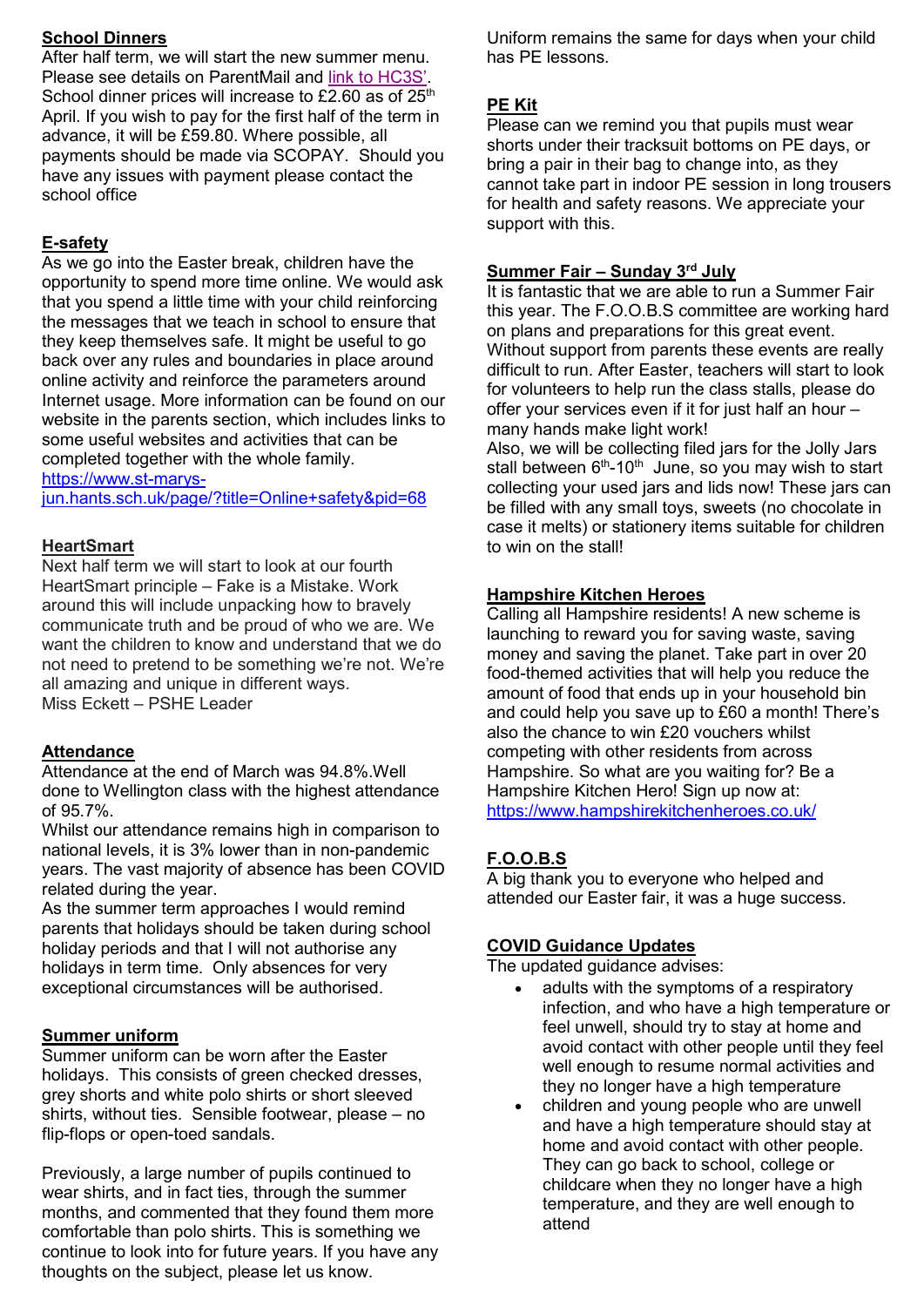# School Dinners

After half term, we will start the new summer menu. Please see details on ParentMail and link to HC3S'. School dinner prices will increase to £2.60 as of  $25<sup>th</sup>$ April. If you wish to pay for the first half of the term in advance, it will be £59.80. Where possible, all payments should be made via SCOPAY. Should you have any issues with payment please contact the school office

# E-safety

As we go into the Easter break, children have the opportunity to spend more time online. We would ask that you spend a little time with your child reinforcing the messages that we teach in school to ensure that they keep themselves safe. It might be useful to go back over any rules and boundaries in place around online activity and reinforce the parameters around Internet usage. More information can be found on our website in the parents section, which includes links to some useful websites and activities that can be completed together with the whole family. https://www.st-marys-

jun.hants.sch.uk/page/?title=Online+safety&pid=68

#### **HeartSmart**

Next half term we will start to look at our fourth HeartSmart principle – Fake is a Mistake. Work around this will include unpacking how to bravely communicate truth and be proud of who we are. We want the children to know and understand that we do not need to pretend to be something we're not. We're all amazing and unique in different ways. Miss Eckett – PSHE Leader

#### Attendance

Attendance at the end of March was 94.8%.Well done to Wellington class with the highest attendance of 95.7%.

Whilst our attendance remains high in comparison to national levels, it is 3% lower than in non-pandemic years. The vast majority of absence has been COVID related during the year.

As the summer term approaches I would remind parents that holidays should be taken during school holiday periods and that I will not authorise any holidays in term time. Only absences for very exceptional circumstances will be authorised.

#### Summer uniform

Summer uniform can be worn after the Easter holidays. This consists of green checked dresses, grey shorts and white polo shirts or short sleeved shirts, without ties. Sensible footwear, please – no flip-flops or open-toed sandals.

Previously, a large number of pupils continued to wear shirts, and in fact ties, through the summer months, and commented that they found them more comfortable than polo shirts. This is something we continue to look into for future years. If you have any thoughts on the subject, please let us know.

Uniform remains the same for days when your child has PE lessons.

# PE Kit

Please can we remind you that pupils must wear shorts under their tracksuit bottoms on PE days, or bring a pair in their bag to change into, as they cannot take part in indoor PE session in long trousers for health and safety reasons. We appreciate your support with this.

#### Summer Fair - Sunday 3rd July

It is fantastic that we are able to run a Summer Fair this year. The F.O.O.B.S committee are working hard on plans and preparations for this great event. Without support from parents these events are really difficult to run. After Easter, teachers will start to look for volunteers to help run the class stalls, please do offer your services even if it for just half an hour – many hands make light work!

Also, we will be collecting filed jars for the Jolly Jars stall between  $6<sup>th</sup>$ -10<sup>th</sup> June, so you may wish to start collecting your used jars and lids now! These jars can be filled with any small toys, sweets (no chocolate in case it melts) or stationery items suitable for children to win on the stall!

#### Hampshire Kitchen Heroes

Calling all Hampshire residents! A new scheme is launching to reward you for saving waste, saving money and saving the planet. Take part in over 20 food-themed activities that will help you reduce the amount of food that ends up in your household bin and could help you save up to £60 a month! There's also the chance to win £20 vouchers whilst competing with other residents from across Hampshire. So what are you waiting for? Be a Hampshire Kitchen Hero! Sign up now at: https://www.hampshirekitchenheroes.co.uk/

# F.O.O.B.S

A big thank you to everyone who helped and attended our Easter fair, it was a huge success.

#### COVID Guidance Updates

The updated guidance advises:

- adults with the symptoms of a respiratory infection, and who have a high temperature or feel unwell, should try to stay at home and avoid contact with other people until they feel well enough to resume normal activities and they no longer have a high temperature
- children and young people who are unwell and have a high temperature should stay at home and avoid contact with other people. They can go back to school, college or childcare when they no longer have a high temperature, and they are well enough to attend